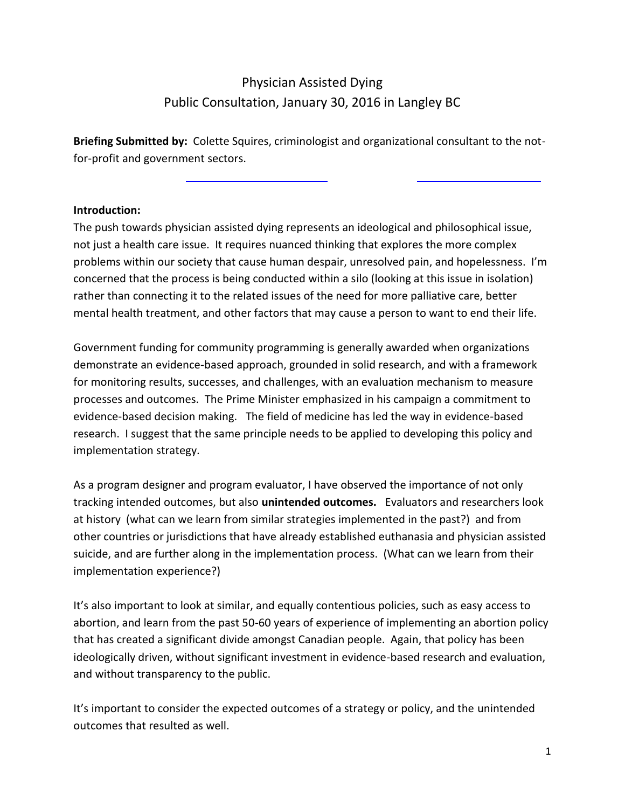# Physician Assisted Dying Public Consultation, January 30, 2016 in Langley BC

**Briefing Submitted by:** Colette Squires, criminologist and organizational consultant to the notfor-profit and government sectors.

#### **Introduction:**

The push towards physician assisted dying represents an ideological and philosophical issue, not just a health care issue. It requires nuanced thinking that explores the more complex problems within our society that cause human despair, unresolved pain, and hopelessness. I'm concerned that the process is being conducted within a silo (looking at this issue in isolation) rather than connecting it to the related issues of the need for more palliative care, better mental health treatment, and other factors that may cause a person to want to end their life.

Government funding for community programming is generally awarded when organizations demonstrate an evidence-based approach, grounded in solid research, and with a framework for monitoring results, successes, and challenges, with an evaluation mechanism to measure processes and outcomes. The Prime Minister emphasized in his campaign a commitment to evidence-based decision making. The field of medicine has led the way in evidence-based research. I suggest that the same principle needs to be applied to developing this policy and implementation strategy.

As a program designer and program evaluator, I have observed the importance of not only tracking intended outcomes, but also **unintended outcomes.** Evaluators and researchers look at history (what can we learn from similar strategies implemented in the past?) and from other countries or jurisdictions that have already established euthanasia and physician assisted suicide, and are further along in the implementation process. (What can we learn from their implementation experience?)

It's also important to look at similar, and equally contentious policies, such as easy access to abortion, and learn from the past 50-60 years of experience of implementing an abortion policy that has created a significant divide amongst Canadian people. Again, that policy has been ideologically driven, without significant investment in evidence-based research and evaluation, and without transparency to the public.

It's important to consider the expected outcomes of a strategy or policy, and the unintended outcomes that resulted as well.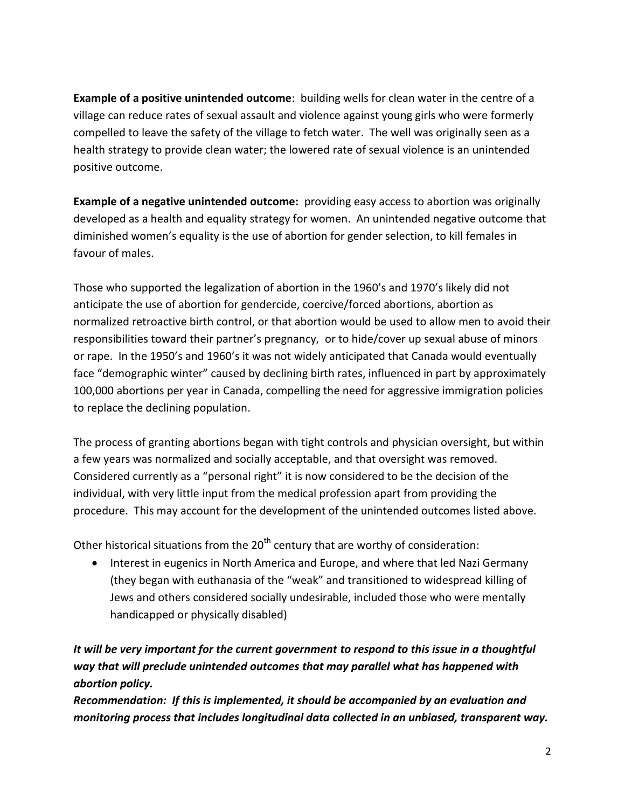**Example of a positive unintended outcome**: building wells for clean water in the centre of a village can reduce rates of sexual assault and violence against young girls who were formerly compelled to leave the safety of the village to fetch water. The well was originally seen as a health strategy to provide clean water; the lowered rate of sexual violence is an unintended positive outcome.

**Example of a negative unintended outcome:** providing easy access to abortion was originally developed as a health and equality strategy for women. An unintended negative outcome that diminished women's equality is the use of abortion for gender selection, to kill females in favour of males.

Those who supported the legalization of abortion in the 1960's and 1970's likely did not anticipate the use of abortion for gendercide, coercive/forced abortions, abortion as normalized retroactive birth control, or that abortion would be used to allow men to avoid their responsibilities toward their partner's pregnancy, or to hide/cover up sexual abuse of minors or rape. In the 1950's and 1960's it was not widely anticipated that Canada would eventually face "demographic winter" caused by declining birth rates, influenced in part by approximately 100,000 abortions per year in Canada, compelling the need for aggressive immigration policies to replace the declining population.

The process of granting abortions began with tight controls and physician oversight, but within a few years was normalized and socially acceptable, and that oversight was removed. Considered currently as a "personal right" it is now considered to be the decision of the individual, with very little input from the medical profession apart from providing the procedure. This may account for the development of the unintended outcomes listed above.

Other historical situations from the  $20<sup>th</sup>$  century that are worthy of consideration:

 Interest in eugenics in North America and Europe, and where that led Nazi Germany (they began with euthanasia of the "weak" and transitioned to widespread killing of Jews and others considered socially undesirable, included those who were mentally handicapped or physically disabled)

# *It will be very important for the current government to respond to this issue in a thoughtful way that will preclude unintended outcomes that may parallel what has happened with abortion policy.*

*Recommendation: If this is implemented, it should be accompanied by an evaluation and monitoring process that includes longitudinal data collected in an unbiased, transparent way.*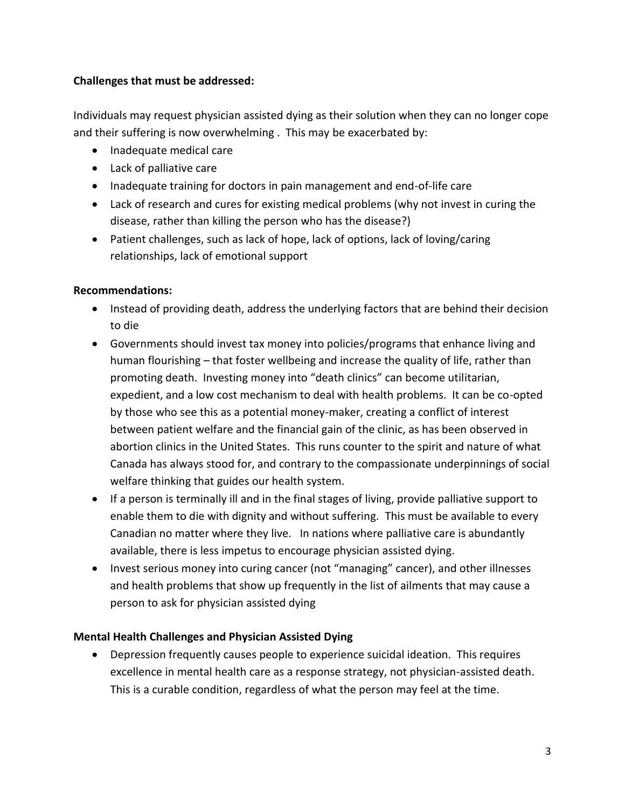# **Challenges that must be addressed:**

Individuals may request physician assisted dying as their solution when they can no longer cope and their suffering is now overwhelming . This may be exacerbated by:

- Inadequate medical care
- Lack of palliative care
- Inadequate training for doctors in pain management and end-of-life care
- Lack of research and cures for existing medical problems (why not invest in curing the disease, rather than killing the person who has the disease?)
- Patient challenges, such as lack of hope, lack of options, lack of loving/caring relationships, lack of emotional support

#### **Recommendations:**

- Instead of providing death, address the underlying factors that are behind their decision to die
- Governments should invest tax money into policies/programs that enhance living and human flourishing – that foster wellbeing and increase the quality of life, rather than promoting death. Investing money into "death clinics" can become utilitarian, expedient, and a low cost mechanism to deal with health problems. It can be co-opted by those who see this as a potential money-maker, creating a conflict of interest between patient welfare and the financial gain of the clinic, as has been observed in abortion clinics in the United States. This runs counter to the spirit and nature of what Canada has always stood for, and contrary to the compassionate underpinnings of social welfare thinking that guides our health system.
- If a person is terminally ill and in the final stages of living, provide palliative support to enable them to die with dignity and without suffering. This must be available to every Canadian no matter where they live. In nations where palliative care is abundantly available, there is less impetus to encourage physician assisted dying.
- Invest serious money into curing cancer (not "managing" cancer), and other illnesses and health problems that show up frequently in the list of ailments that may cause a person to ask for physician assisted dying

# **Mental Health Challenges and Physician Assisted Dying**

 Depression frequently causes people to experience suicidal ideation. This requires excellence in mental health care as a response strategy, not physician-assisted death. This is a curable condition, regardless of what the person may feel at the time.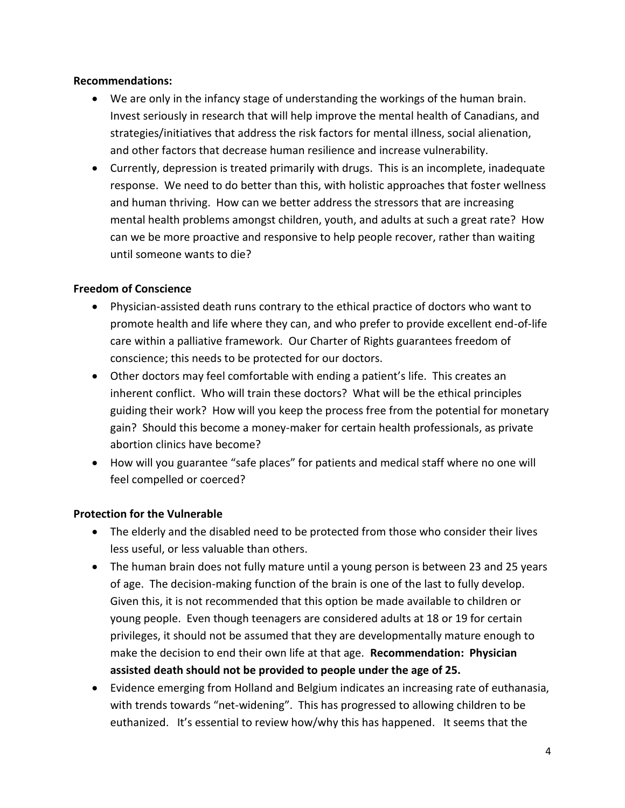#### **Recommendations:**

- We are only in the infancy stage of understanding the workings of the human brain. Invest seriously in research that will help improve the mental health of Canadians, and strategies/initiatives that address the risk factors for mental illness, social alienation, and other factors that decrease human resilience and increase vulnerability.
- Currently, depression is treated primarily with drugs. This is an incomplete, inadequate response. We need to do better than this, with holistic approaches that foster wellness and human thriving. How can we better address the stressors that are increasing mental health problems amongst children, youth, and adults at such a great rate? How can we be more proactive and responsive to help people recover, rather than waiting until someone wants to die?

# **Freedom of Conscience**

- Physician-assisted death runs contrary to the ethical practice of doctors who want to promote health and life where they can, and who prefer to provide excellent end-of-life care within a palliative framework. Our Charter of Rights guarantees freedom of conscience; this needs to be protected for our doctors.
- Other doctors may feel comfortable with ending a patient's life. This creates an inherent conflict. Who will train these doctors? What will be the ethical principles guiding their work? How will you keep the process free from the potential for monetary gain? Should this become a money-maker for certain health professionals, as private abortion clinics have become?
- How will you guarantee "safe places" for patients and medical staff where no one will feel compelled or coerced?

# **Protection for the Vulnerable**

- The elderly and the disabled need to be protected from those who consider their lives less useful, or less valuable than others.
- The human brain does not fully mature until a young person is between 23 and 25 years of age. The decision-making function of the brain is one of the last to fully develop. Given this, it is not recommended that this option be made available to children or young people. Even though teenagers are considered adults at 18 or 19 for certain privileges, it should not be assumed that they are developmentally mature enough to make the decision to end their own life at that age. **Recommendation: Physician assisted death should not be provided to people under the age of 25.**
- Evidence emerging from Holland and Belgium indicates an increasing rate of euthanasia, with trends towards "net-widening". This has progressed to allowing children to be euthanized. It's essential to review how/why this has happened. It seems that the